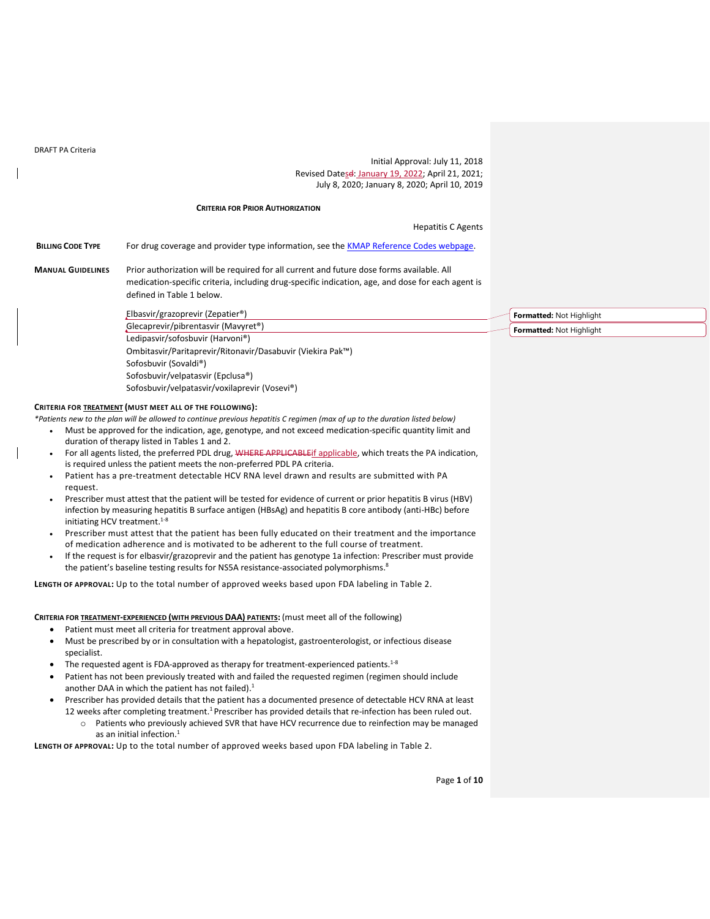DRAFT PA Criteria

Initial Approval: July 11, 2018 Revised Datesd: January 19, 2022; April 21, 2021; July 8, 2020; January 8, 2020; April 10, 2019

#### **CRITERIA FOR PRIOR AUTHORIZATION**

Hepatitis C Agents

**BILLING CODE TYPE** For drug coverage and provider type information, see the [KMAP Reference Codes webpage.](https://www.kmap-state-ks.us/Provider/PRICING/RefCode.asp)

**MANUAL GUIDELINES** Prior authorization will be required for all current and future dose forms available. All medication-specific criteria, including drug-specific indication, age, and dose for each agent is defined in Table 1 below.

> Elbasvir/grazoprevir (Zepatier®) Glecaprevir/pibrentasvir (Mavyret®) Ledipasvir/sofosbuvir (Harvoni®) Ombitasvir/Paritaprevir/Ritonavir/Dasabuvir (Viekira Pak™) **Formatted:** Not Highlight **Formatted:** Not Highlight

**CRITERIA FOR TREATMENT (MUST MEET ALL OF THE FOLLOWING):**

Sofosbuvir (Sovaldi®)

Sofosbuvir/velpatasvir (Epclusa®)

Sofosbuvir/velpatasvir/voxilaprevir (Vosevi®)

*\*Patients new to the plan will be allowed to continue previous hepatitis C regimen (max of up to the duration listed below)*

- Must be approved for the indication, age, genotype, and not exceed medication-specific quantity limit and duration of therapy listed in Tables 1 and 2.
- For all agents listed, the preferred PDL drug, WHERE APPLICABLEif applicable, which treats the PA indication, is required unless the patient meets the non-preferred PDL PA criteria.
- Patient has a pre-treatment detectable HCV RNA level drawn and results are submitted with PA request.
- Prescriber must attest that the patient will be tested for evidence of current or prior hepatitis B virus (HBV) infection by measuring hepatitis B surface antigen (HBsAg) and hepatitis B core antibody (anti-HBc) before initiating HCV treatment. 1-8
- Prescriber must attest that the patient has been fully educated on their treatment and the importance of medication adherence and is motivated to be adherent to the full course of treatment.
- If the request is for elbasvir/grazoprevir and the patient has genotype 1a infection: Prescriber must provide the patient's baseline testing results for NS5A resistance-associated polymorphisms.<sup>8</sup>

**LENGTH OF APPROVAL:** Up to the total number of approved weeks based upon FDA labeling in Table 2.

**CRITERIA FOR TREATMENT-EXPERIENCED (WITH PREVIOUS DAA) PATIENTS:** (must meet all of the following)

- Patient must meet all criteria for treatment approval above.
- Must be prescribed by or in consultation with a hepatologist, gastroenterologist, or infectious disease specialist.
- The requested agent is FDA-approved as therapy for treatment-experienced patients.<sup>1-8</sup>
- Patient has not been previously treated with and failed the requested regimen (regimen should include another DAA in which the patient has not failed).<sup>1</sup>
- Prescriber has provided details that the patient has a documented presence of detectable HCV RNA at least
- 12 weeks after completing treatment.<sup>1</sup> Prescriber has provided details that re-infection has been ruled out. o Patients who previously achieved SVR that have HCV recurrence due to reinfection may be managed as an initial infection.<sup>1</sup>

**LENGTH OF APPROVAL:** Up to the total number of approved weeks based upon FDA labeling in Table 2.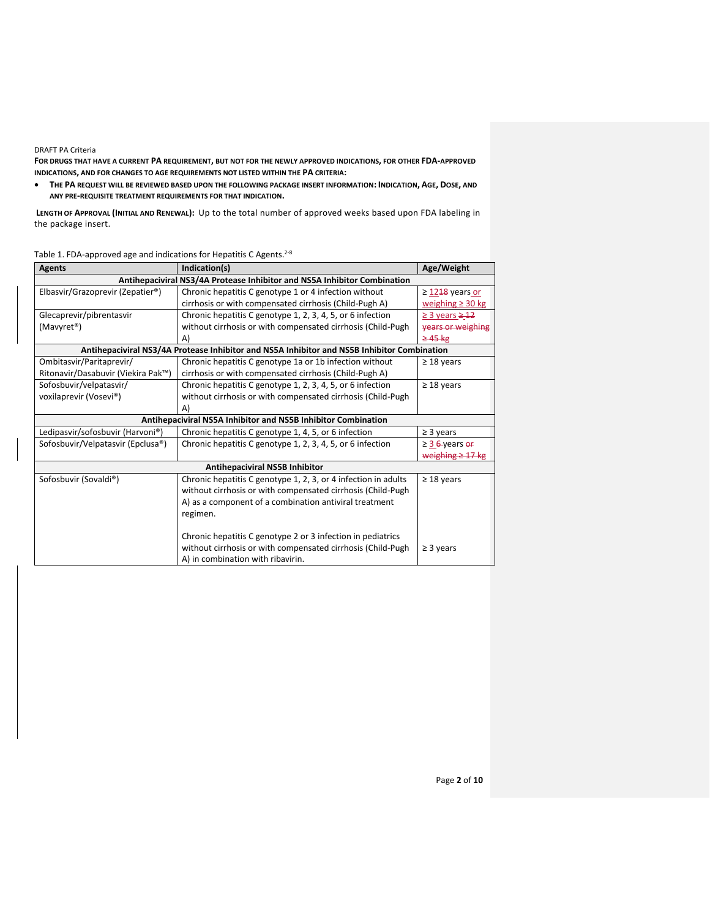## DRAFT PA Criteria

**FOR DRUGS THAT HAVE A CURRENT PA REQUIREMENT, BUT NOT FOR THE NEWLY APPROVED INDICATIONS, FOR OTHER FDA-APPROVED INDICATIONS, AND FOR CHANGES TO AGE REQUIREMENTS NOT LISTED WITHIN THE PA CRITERIA:**

• **THE PA REQUEST WILL BE REVIEWED BASED UPON THE FOLLOWING PACKAGE INSERT INFORMATION: INDICATION, AGE, DOSE, AND ANY PRE-REQUISITE TREATMENT REQUIREMENTS FOR THAT INDICATION.**

**LENGTH OF APPROVAL (INITIAL AND RENEWAL):** Up to the total number of approved weeks based upon FDA labeling in the package insert.

# Table 1. FDA-approved age and indications for Hepatitis C Agents.<sup>2-8</sup>

| <b>Agents</b>                      | Indication(s)                                                                               | Age/Weight               |
|------------------------------------|---------------------------------------------------------------------------------------------|--------------------------|
|                                    | Antihepaciviral NS3/4A Protease Inhibitor and NS5A Inhibitor Combination                    |                          |
| Elbasvir/Grazoprevir (Zepatier®)   | Chronic hepatitis C genotype 1 or 4 infection without                                       | $\geq$ 1248 years or     |
|                                    | cirrhosis or with compensated cirrhosis (Child-Pugh A)                                      | weighing $\geq$ 30 kg    |
| Glecaprevir/pibrentasvir           | Chronic hepatitis C genotype 1, 2, 3, 4, 5, or 6 infection                                  | $\geq$ 3 years $\geq$ 12 |
| (Mavyret <sup>®</sup> )            | without cirrhosis or with compensated cirrhosis (Child-Pugh                                 | vears or weighing        |
|                                    | A)                                                                                          | $\geq$ 45 kg             |
|                                    | Antihepaciviral NS3/4A Protease Inhibitor and NS5A Inhibitor and NS5B Inhibitor Combination |                          |
| Ombitasvir/Paritaprevir/           | Chronic hepatitis C genotype 1a or 1b infection without                                     | $\geq$ 18 years          |
| Ritonavir/Dasabuvir (Viekira Pak™) | cirrhosis or with compensated cirrhosis (Child-Pugh A)                                      |                          |
| Sofosbuvir/velpatasvir/            | Chronic hepatitis C genotype 1, 2, 3, 4, 5, or 6 infection                                  | $\geq$ 18 years          |
| voxilaprevir (Vosevi®)             | without cirrhosis or with compensated cirrhosis (Child-Pugh                                 |                          |
|                                    | A)                                                                                          |                          |
|                                    | Antihepaciviral NS5A Inhibitor and NS5B Inhibitor Combination                               |                          |
| Ledipasvir/sofosbuvir (Harvoni®)   | Chronic hepatitis C genotype 1, 4, 5, or 6 infection                                        | $\geq$ 3 years           |
| Sofosbuvir/Velpatasvir (Epclusa®)  | Chronic hepatitis C genotype 1, 2, 3, 4, 5, or 6 infection                                  | $\geq$ 3 6-years or      |
|                                    |                                                                                             | weighing $\geq$ 17 kg    |
|                                    | Antihepaciviral NS5B Inhibitor                                                              |                          |
| Sofosbuvir (Sovaldi®)              | Chronic hepatitis C genotype 1, 2, 3, or 4 infection in adults                              | $\geq$ 18 years          |
|                                    | without cirrhosis or with compensated cirrhosis (Child-Pugh                                 |                          |
|                                    | A) as a component of a combination antiviral treatment                                      |                          |
|                                    | regimen.                                                                                    |                          |
|                                    |                                                                                             |                          |
|                                    | Chronic hepatitis C genotype 2 or 3 infection in pediatrics                                 |                          |
|                                    | without cirrhosis or with compensated cirrhosis (Child-Pugh                                 | $\geq$ 3 years           |
|                                    | A) in combination with ribavirin.                                                           |                          |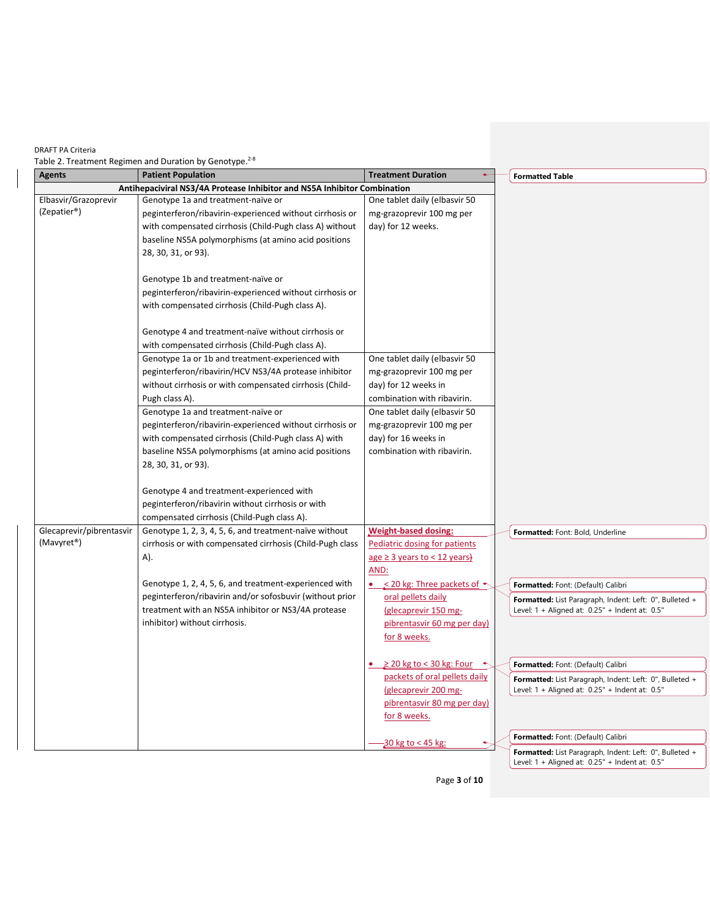Table 2. Treatment Regimen and Duration by Genotype.  $20$ 

| Agents                   | <b>Patient Population</b>                                                | <b>Treatment Duration</b><br>$\leftarrow$       | <b>Formatted Table</b>                                  |
|--------------------------|--------------------------------------------------------------------------|-------------------------------------------------|---------------------------------------------------------|
|                          | Antihepaciviral NS3/4A Protease Inhibitor and NS5A Inhibitor Combination |                                                 |                                                         |
| Elbasvir/Grazoprevir     | Genotype 1a and treatment-naïve or                                       | One tablet daily (elbasvir 50                   |                                                         |
| (Zepatier®)              | peginterferon/ribavirin-experienced without cirrhosis or                 | mg-grazoprevir 100 mg per                       |                                                         |
|                          | with compensated cirrhosis (Child-Pugh class A) without                  | day) for 12 weeks.                              |                                                         |
|                          | baseline NS5A polymorphisms (at amino acid positions                     |                                                 |                                                         |
|                          | 28, 30, 31, or 93).                                                      |                                                 |                                                         |
|                          | Genotype 1b and treatment-naïve or                                       |                                                 |                                                         |
|                          | peginterferon/ribavirin-experienced without cirrhosis or                 |                                                 |                                                         |
|                          | with compensated cirrhosis (Child-Pugh class A).                         |                                                 |                                                         |
|                          |                                                                          |                                                 |                                                         |
|                          | Genotype 4 and treatment-naïve without cirrhosis or                      |                                                 |                                                         |
|                          | with compensated cirrhosis (Child-Pugh class A).                         |                                                 |                                                         |
|                          | Genotype 1a or 1b and treatment-experienced with                         | One tablet daily (elbasvir 50                   |                                                         |
|                          | peginterferon/ribavirin/HCV NS3/4A protease inhibitor                    | mg-grazoprevir 100 mg per                       |                                                         |
|                          | without cirrhosis or with compensated cirrhosis (Child-                  | day) for 12 weeks in                            |                                                         |
|                          | Pugh class A).                                                           | combination with ribavirin.                     |                                                         |
|                          | Genotype 1a and treatment-naïve or                                       | One tablet daily (elbasvir 50                   |                                                         |
|                          | peginterferon/ribavirin-experienced without cirrhosis or                 | mg-grazoprevir 100 mg per                       |                                                         |
|                          | with compensated cirrhosis (Child-Pugh class A) with                     | day) for 16 weeks in                            |                                                         |
|                          | baseline NS5A polymorphisms (at amino acid positions                     | combination with ribavirin.                     |                                                         |
|                          | 28, 30, 31, or 93).                                                      |                                                 |                                                         |
|                          | Genotype 4 and treatment-experienced with                                |                                                 |                                                         |
|                          | peginterferon/ribavirin without cirrhosis or with                        |                                                 |                                                         |
|                          | compensated cirrhosis (Child-Pugh class A).                              |                                                 |                                                         |
| Glecaprevir/pibrentasvir | Genotype 1, 2, 3, 4, 5, 6, and treatment-naïve without                   | <b>Weight-based dosing:</b>                     | Formatted: Font: Bold, Underline                        |
| (Mavyret <sup>®</sup> )  | cirrhosis or with compensated cirrhosis (Child-Pugh class                | Pediatric dosing for patients                   |                                                         |
|                          | A).                                                                      | $age \geq 3 years to < 12 years$                |                                                         |
|                          |                                                                          | AND:                                            |                                                         |
|                          | Genotype 1, 2, 4, 5, 6, and treatment-experienced with                   | • $\leq$ 20 kg: Three packets of $\sim$         | Formatted: Font: (Default) Calibri                      |
|                          | peginterferon/ribavirin and/or sofosbuvir (without prior                 | oral pellets daily                              | Formatted: List Paragraph, Indent: Left: 0", Bulleted + |
|                          | treatment with an NS5A inhibitor or NS3/4A protease                      | (glecaprevir 150 mg-                            | Level: 1 + Aligned at: 0.25" + Indent at: 0.5"          |
|                          | inhibitor) without cirrhosis.                                            | pibrentasvir 60 mg per day)                     |                                                         |
|                          |                                                                          | for 8 weeks.                                    |                                                         |
|                          |                                                                          | $\geq$ 20 kg to < 30 kg: Four $\leftrightarrow$ | Formatted: Font: (Default) Calibri                      |
|                          |                                                                          | packets of oral pellets daily                   | Formatted: List Paragraph, Indent: Left: 0", Bulleted + |
|                          |                                                                          | (glecaprevir 200 mg-                            | Level: $1 +$ Aligned at: $0.25"$ + Indent at: $0.5"$    |
|                          |                                                                          | pibrentasvir 80 mg per day)                     |                                                         |
|                          |                                                                          | for 8 weeks.                                    |                                                         |
|                          |                                                                          | $-30$ kg to < 45 kg:                            | Formatted: Font: (Default) Calibri                      |
|                          |                                                                          |                                                 | Formatted: List Paragraph, Indent: Left: 0", Bulleted + |

Page **3** of **10**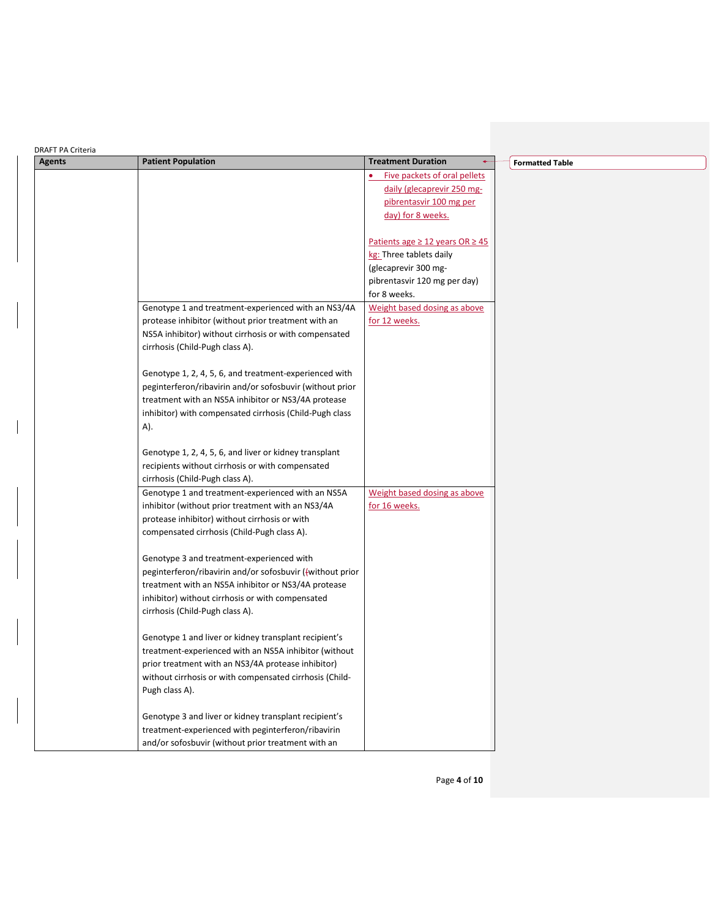| <b>DRAFT PA Criteria</b> |                                                           |                                           |                        |
|--------------------------|-----------------------------------------------------------|-------------------------------------------|------------------------|
| <b>Agents</b>            | <b>Patient Population</b>                                 | <b>Treatment Duration</b>                 | <b>Formatted Table</b> |
|                          |                                                           | Five packets of oral pellets              |                        |
|                          |                                                           | daily (glecaprevir 250 mg-                |                        |
|                          |                                                           | pibrentasvir 100 mg per                   |                        |
|                          |                                                           | day) for 8 weeks.                         |                        |
|                          |                                                           | Patients age $\geq$ 12 years OR $\geq$ 45 |                        |
|                          |                                                           | kg: Three tablets daily                   |                        |
|                          |                                                           | (glecaprevir 300 mg-                      |                        |
|                          |                                                           | pibrentasvir 120 mg per day)              |                        |
|                          |                                                           | for 8 weeks.                              |                        |
|                          | Genotype 1 and treatment-experienced with an NS3/4A       | Weight based dosing as above              |                        |
|                          | protease inhibitor (without prior treatment with an       | for 12 weeks.                             |                        |
|                          | NS5A inhibitor) without cirrhosis or with compensated     |                                           |                        |
|                          | cirrhosis (Child-Pugh class A).                           |                                           |                        |
|                          |                                                           |                                           |                        |
|                          | Genotype 1, 2, 4, 5, 6, and treatment-experienced with    |                                           |                        |
|                          | peginterferon/ribavirin and/or sofosbuvir (without prior  |                                           |                        |
|                          | treatment with an NS5A inhibitor or NS3/4A protease       |                                           |                        |
|                          | inhibitor) with compensated cirrhosis (Child-Pugh class   |                                           |                        |
|                          | A).                                                       |                                           |                        |
|                          | Genotype 1, 2, 4, 5, 6, and liver or kidney transplant    |                                           |                        |
|                          | recipients without cirrhosis or with compensated          |                                           |                        |
|                          | cirrhosis (Child-Pugh class A).                           |                                           |                        |
|                          | Genotype 1 and treatment-experienced with an NS5A         | Weight based dosing as above              |                        |
|                          | inhibitor (without prior treatment with an NS3/4A         | for 16 weeks.                             |                        |
|                          | protease inhibitor) without cirrhosis or with             |                                           |                        |
|                          | compensated cirrhosis (Child-Pugh class A).               |                                           |                        |
|                          |                                                           |                                           |                        |
|                          | Genotype 3 and treatment-experienced with                 |                                           |                        |
|                          | peginterferon/ribavirin and/or sofosbuvir ((without prior |                                           |                        |
|                          | treatment with an NS5A inhibitor or NS3/4A protease       |                                           |                        |
|                          | inhibitor) without cirrhosis or with compensated          |                                           |                        |
|                          | cirrhosis (Child-Pugh class A).                           |                                           |                        |
|                          | Genotype 1 and liver or kidney transplant recipient's     |                                           |                        |
|                          | treatment-experienced with an NS5A inhibitor (without     |                                           |                        |
|                          | prior treatment with an NS3/4A protease inhibitor)        |                                           |                        |
|                          | without cirrhosis or with compensated cirrhosis (Child-   |                                           |                        |
|                          | Pugh class A).                                            |                                           |                        |
|                          |                                                           |                                           |                        |
|                          | Genotype 3 and liver or kidney transplant recipient's     |                                           |                        |
|                          | treatment-experienced with peginterferon/ribavirin        |                                           |                        |
|                          | and/or sofosbuvir (without prior treatment with an        |                                           |                        |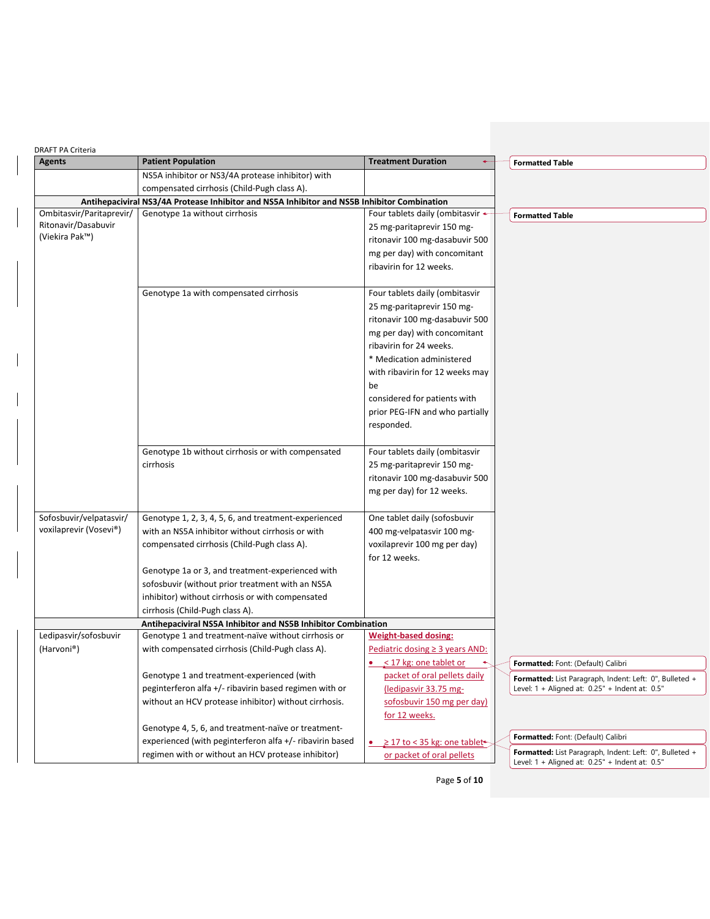| <b>DRAFT PA Criteria</b> |                                                                                             |                                                                |                                                                                                           |
|--------------------------|---------------------------------------------------------------------------------------------|----------------------------------------------------------------|-----------------------------------------------------------------------------------------------------------|
| <b>Agents</b>            | <b>Patient Population</b>                                                                   | <b>Treatment Duration</b><br>٠                                 | <b>Formatted Table</b>                                                                                    |
|                          | NS5A inhibitor or NS3/4A protease inhibitor) with                                           |                                                                |                                                                                                           |
|                          | compensated cirrhosis (Child-Pugh class A).                                                 |                                                                |                                                                                                           |
|                          | Antihepaciviral NS3/4A Protease Inhibitor and NS5A Inhibitor and NS5B Inhibitor Combination |                                                                |                                                                                                           |
| Ombitasvir/Paritaprevir/ | Genotype 1a without cirrhosis                                                               | Four tablets daily (ombitasvir +                               | <b>Formatted Table</b>                                                                                    |
| Ritonavir/Dasabuvir      |                                                                                             | 25 mg-paritaprevir 150 mg-                                     |                                                                                                           |
| (Viekira Pak™)           |                                                                                             | ritonavir 100 mg-dasabuvir 500                                 |                                                                                                           |
|                          |                                                                                             | mg per day) with concomitant                                   |                                                                                                           |
|                          |                                                                                             | ribavirin for 12 weeks.                                        |                                                                                                           |
|                          | Genotype 1a with compensated cirrhosis                                                      | Four tablets daily (ombitasvir                                 |                                                                                                           |
|                          |                                                                                             | 25 mg-paritaprevir 150 mg-                                     |                                                                                                           |
|                          |                                                                                             |                                                                |                                                                                                           |
|                          |                                                                                             | ritonavir 100 mg-dasabuvir 500<br>mg per day) with concomitant |                                                                                                           |
|                          |                                                                                             | ribavirin for 24 weeks.                                        |                                                                                                           |
|                          |                                                                                             | * Medication administered                                      |                                                                                                           |
|                          |                                                                                             | with ribavirin for 12 weeks may                                |                                                                                                           |
|                          |                                                                                             | be                                                             |                                                                                                           |
|                          |                                                                                             | considered for patients with                                   |                                                                                                           |
|                          |                                                                                             | prior PEG-IFN and who partially                                |                                                                                                           |
|                          |                                                                                             | responded.                                                     |                                                                                                           |
|                          |                                                                                             |                                                                |                                                                                                           |
|                          | Genotype 1b without cirrhosis or with compensated                                           | Four tablets daily (ombitasvir                                 |                                                                                                           |
|                          | cirrhosis                                                                                   | 25 mg-paritaprevir 150 mg-                                     |                                                                                                           |
|                          |                                                                                             | ritonavir 100 mg-dasabuvir 500                                 |                                                                                                           |
|                          |                                                                                             | mg per day) for 12 weeks.                                      |                                                                                                           |
|                          |                                                                                             |                                                                |                                                                                                           |
| Sofosbuvir/velpatasvir/  | Genotype 1, 2, 3, 4, 5, 6, and treatment-experienced                                        | One tablet daily (sofosbuvir                                   |                                                                                                           |
| voxilaprevir (Vosevi®)   | with an NS5A inhibitor without cirrhosis or with                                            | 400 mg-velpatasvir 100 mg-                                     |                                                                                                           |
|                          | compensated cirrhosis (Child-Pugh class A).                                                 | voxilaprevir 100 mg per day)                                   |                                                                                                           |
|                          |                                                                                             | for 12 weeks.                                                  |                                                                                                           |
|                          | Genotype 1a or 3, and treatment-experienced with                                            |                                                                |                                                                                                           |
|                          | sofosbuvir (without prior treatment with an NS5A                                            |                                                                |                                                                                                           |
|                          | inhibitor) without cirrhosis or with compensated                                            |                                                                |                                                                                                           |
|                          | cirrhosis (Child-Pugh class A).                                                             |                                                                |                                                                                                           |
| Ledipasvir/sofosbuvir    | Antihepaciviral NS5A Inhibitor and NS5B Inhibitor Combination                               | <b>Weight-based dosing:</b>                                    |                                                                                                           |
|                          | Genotype 1 and treatment-naïve without cirrhosis or                                         |                                                                |                                                                                                           |
| (Harvoni®)               | with compensated cirrhosis (Child-Pugh class A).                                            | Pediatric dosing $\geq$ 3 years AND:<br>< 17 kg: one tablet or | Formatted: Font: (Default) Calibri                                                                        |
|                          | Genotype 1 and treatment-experienced (with                                                  | packet of oral pellets daily                                   |                                                                                                           |
|                          | peginterferon alfa +/- ribavirin based regimen with or                                      | (ledipasvir 33.75 mg-                                          | Formatted: List Paragraph, Indent: Left: 0", Bulleted +<br>Level: 1 + Aligned at: 0.25" + Indent at: 0.5" |
|                          | without an HCV protease inhibitor) without cirrhosis.                                       | sofosbuvir 150 mg per day)                                     |                                                                                                           |
|                          |                                                                                             | for 12 weeks.                                                  |                                                                                                           |
|                          | Genotype 4, 5, 6, and treatment-naïve or treatment-                                         |                                                                |                                                                                                           |
|                          | experienced (with peginterferon alfa +/- ribavirin based                                    | ≥ 17 to < 35 kg: one tablet                                    | Formatted: Font: (Default) Calibri                                                                        |
|                          | regimen with or without an HCV protease inhibitor)                                          | or packet of oral pellets                                      | Formatted: List Paragraph, Indent: Left: 0", Bulleted +                                                   |
|                          |                                                                                             |                                                                | Level: 1 + Aligned at: 0.25" + Indent at: 0.5"                                                            |

Page **5** of **10**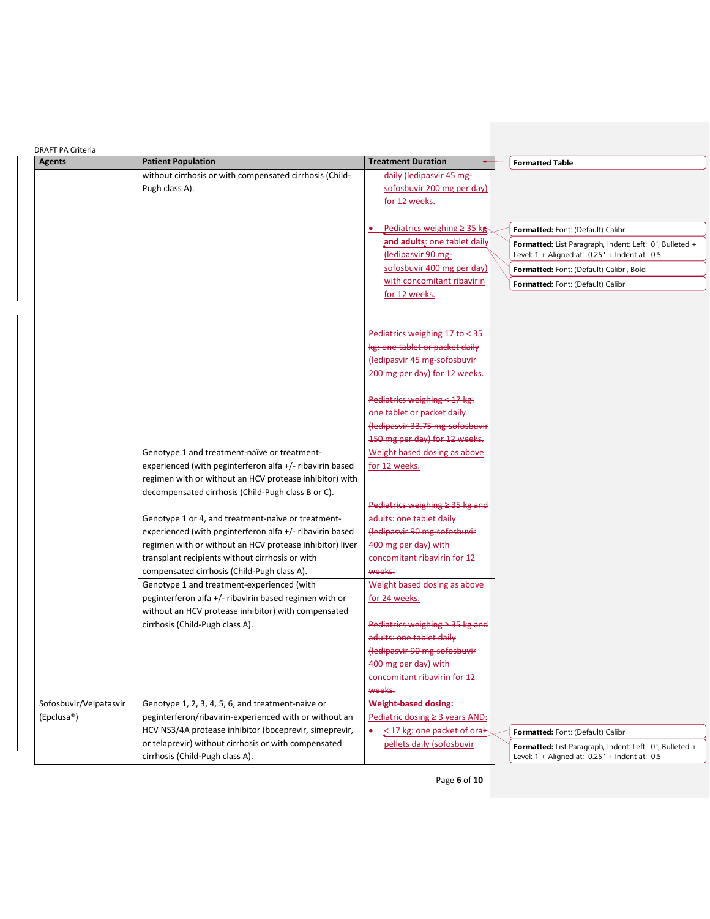| <b>DRAFT PA Criteria</b> |                                                          |                                                      |                                                                                                           |
|--------------------------|----------------------------------------------------------|------------------------------------------------------|-----------------------------------------------------------------------------------------------------------|
| <b>Agents</b>            | <b>Patient Population</b>                                | <b>Treatment Duration</b><br>$\leftarrow$            | <b>Formatted Table</b>                                                                                    |
|                          | without cirrhosis or with compensated cirrhosis (Child-  | daily (ledipasvir 45 mg-                             |                                                                                                           |
|                          | Pugh class A).                                           | sofosbuvir 200 mg per day)                           |                                                                                                           |
|                          |                                                          | for 12 weeks.                                        |                                                                                                           |
|                          |                                                          | Pediatrics weighing $\geq$ 35 kg                     | Formatted: Font: (Default) Calibri                                                                        |
|                          |                                                          | and adults: one tablet daily<br>(ledipasvir 90 mg-   | Formatted: List Paragraph, Indent: Left: 0", Bulleted +<br>Level: 1 + Aligned at: 0.25" + Indent at: 0.5" |
|                          |                                                          | sofosbuvir 400 mg per day)                           | Formatted: Font: (Default) Calibri, Bold                                                                  |
|                          |                                                          | with concomitant ribavirin                           | Formatted: Font: (Default) Calibri                                                                        |
|                          |                                                          | for 12 weeks.                                        |                                                                                                           |
|                          |                                                          |                                                      |                                                                                                           |
|                          |                                                          | Pediatrics weighing 17 to < 35                       |                                                                                                           |
|                          |                                                          | kg: one tablet or packet daily                       |                                                                                                           |
|                          |                                                          | Hedipasvir 45 mg sofosbuvir                          |                                                                                                           |
|                          |                                                          | 200 mg per day) for 12 weeks.                        |                                                                                                           |
|                          |                                                          | Pediatrics weighing $<$ 17 kg:                       |                                                                                                           |
|                          |                                                          | one tablet or packet daily                           |                                                                                                           |
|                          |                                                          | (ledipasvir 33.75 mg sofosbuvir                      |                                                                                                           |
|                          |                                                          | 150 mg per day) for 12 weeks.                        |                                                                                                           |
|                          | Genotype 1 and treatment-naïve or treatment-             | Weight based dosing as above                         |                                                                                                           |
|                          | experienced (with peginterferon alfa +/- ribavirin based | for 12 weeks.                                        |                                                                                                           |
|                          | regimen with or without an HCV protease inhibitor) with  |                                                      |                                                                                                           |
|                          | decompensated cirrhosis (Child-Pugh class B or C).       |                                                      |                                                                                                           |
|                          |                                                          | Pediatrics weighing $\geq$ 35 kg and                 |                                                                                                           |
|                          | Genotype 1 or 4, and treatment-naïve or treatment-       | adults: one tablet daily                             |                                                                                                           |
|                          | experienced (with peginterferon alfa +/- ribavirin based | (ledipasvir 90 mg-sofosbuvir                         |                                                                                                           |
|                          | regimen with or without an HCV protease inhibitor) liver | 400 mg per day) with                                 |                                                                                                           |
|                          | transplant recipients without cirrhosis or with          | concomitant ribavirin for 12                         |                                                                                                           |
|                          | compensated cirrhosis (Child-Pugh class A).              | weeks.                                               |                                                                                                           |
|                          | Genotype 1 and treatment-experienced (with               | Weight based dosing as above                         |                                                                                                           |
|                          | peginterferon alfa +/- ribavirin based regimen with or   | for 24 weeks.                                        |                                                                                                           |
|                          | without an HCV protease inhibitor) with compensated      |                                                      |                                                                                                           |
|                          | cirrhosis (Child-Pugh class A).                          | Pediatrics weighing $\geq$ 35 kg and                 |                                                                                                           |
|                          |                                                          | adults: one tablet daily                             |                                                                                                           |
|                          |                                                          | (ledipasvir 90 mg-sofosbuvir                         |                                                                                                           |
|                          |                                                          | 400 mg per day) with<br>concomitant ribavirin for 12 |                                                                                                           |
|                          |                                                          | weeks.                                               |                                                                                                           |
| Sofosbuvir/Velpatasvir   | Genotype 1, 2, 3, 4, 5, 6, and treatment-naïve or        | <b>Weight-based dosing:</b>                          |                                                                                                           |
| (Epclusa®)               | peginterferon/ribavirin-experienced with or without an   | Pediatric dosing $\geq$ 3 years AND:                 |                                                                                                           |
|                          | HCV NS3/4A protease inhibitor (boceprevir, simeprevir,   | $\bullet$ < 17 kg: one packet of oral                | Formatted: Font: (Default) Calibri                                                                        |
|                          | or telaprevir) without cirrhosis or with compensated     | pellets daily (sofosbuvir                            | Formatted: List Paragraph, Indent: Left: 0", Bulleted +                                                   |
|                          | cirrhosis (Child-Pugh class A).                          |                                                      | Level: 1 + Aligned at: 0.25" + Indent at: 0.5"                                                            |

Page **6** of **10**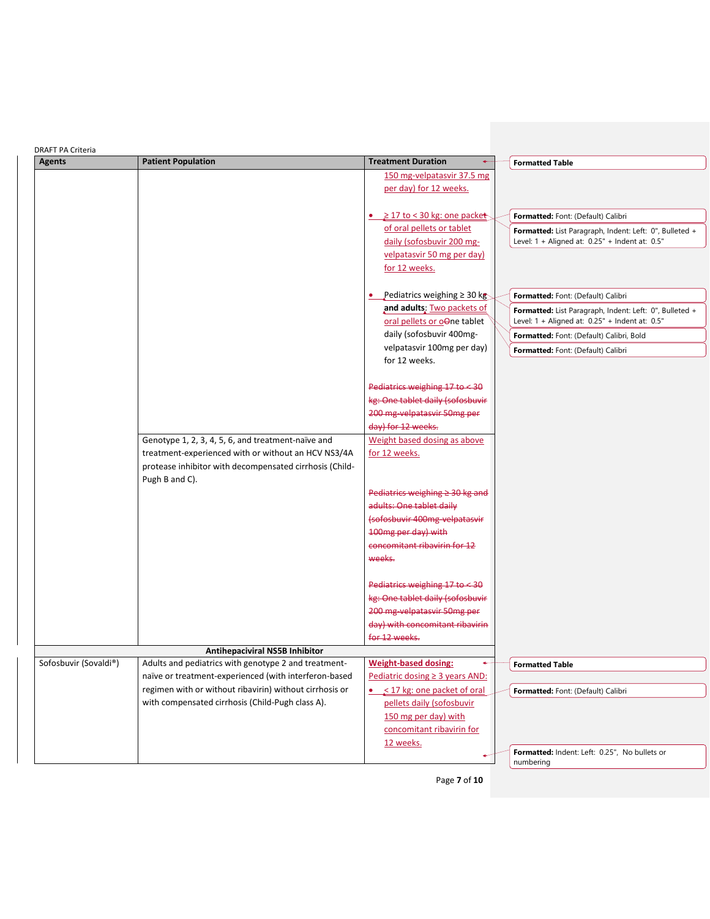| <b>Patient Population</b><br><b>Treatment Duration</b><br><b>Agents</b><br><b>Formatted Table</b><br>150 mg-velpatasvir 37.5 mg<br>per day) for 12 weeks.<br>• $\geq$ 17 to < 30 kg: one packet<br>Formatted: Font: (Default) Calibri<br>of oral pellets or tablet<br>Formatted: List Paragraph, Indent: Left: 0", Bulleted +<br>daily (sofosbuvir 200 mg-<br>Level: 1 + Aligned at: 0.25" + Indent at: 0.5"<br>velpatasvir 50 mg per day)<br>for 12 weeks.<br>• Pediatrics weighing $\geq$ 30 kg<br>Formatted: Font: (Default) Calibri<br>and adults: Two packets of<br>Formatted: List Paragraph, Indent: Left: 0", Bulleted +<br>oral pellets or oone tablet<br>Level: 1 + Aligned at: 0.25" + Indent at: 0.5"<br>daily (sofosbuvir 400mg-<br>Formatted: Font: (Default) Calibri, Bold<br>velpatasvir 100mg per day)<br>Formatted: Font: (Default) Calibri<br>for 12 weeks.<br>Pediatrics weighing $17$ to $\leq 30$<br>kg: One tablet daily (sofosbuvir<br>200 mg velpatasvir 50mg per |  |
|--------------------------------------------------------------------------------------------------------------------------------------------------------------------------------------------------------------------------------------------------------------------------------------------------------------------------------------------------------------------------------------------------------------------------------------------------------------------------------------------------------------------------------------------------------------------------------------------------------------------------------------------------------------------------------------------------------------------------------------------------------------------------------------------------------------------------------------------------------------------------------------------------------------------------------------------------------------------------------------------|--|
|                                                                                                                                                                                                                                                                                                                                                                                                                                                                                                                                                                                                                                                                                                                                                                                                                                                                                                                                                                                            |  |
|                                                                                                                                                                                                                                                                                                                                                                                                                                                                                                                                                                                                                                                                                                                                                                                                                                                                                                                                                                                            |  |
|                                                                                                                                                                                                                                                                                                                                                                                                                                                                                                                                                                                                                                                                                                                                                                                                                                                                                                                                                                                            |  |
|                                                                                                                                                                                                                                                                                                                                                                                                                                                                                                                                                                                                                                                                                                                                                                                                                                                                                                                                                                                            |  |
|                                                                                                                                                                                                                                                                                                                                                                                                                                                                                                                                                                                                                                                                                                                                                                                                                                                                                                                                                                                            |  |
|                                                                                                                                                                                                                                                                                                                                                                                                                                                                                                                                                                                                                                                                                                                                                                                                                                                                                                                                                                                            |  |
|                                                                                                                                                                                                                                                                                                                                                                                                                                                                                                                                                                                                                                                                                                                                                                                                                                                                                                                                                                                            |  |
|                                                                                                                                                                                                                                                                                                                                                                                                                                                                                                                                                                                                                                                                                                                                                                                                                                                                                                                                                                                            |  |
|                                                                                                                                                                                                                                                                                                                                                                                                                                                                                                                                                                                                                                                                                                                                                                                                                                                                                                                                                                                            |  |
|                                                                                                                                                                                                                                                                                                                                                                                                                                                                                                                                                                                                                                                                                                                                                                                                                                                                                                                                                                                            |  |
|                                                                                                                                                                                                                                                                                                                                                                                                                                                                                                                                                                                                                                                                                                                                                                                                                                                                                                                                                                                            |  |
|                                                                                                                                                                                                                                                                                                                                                                                                                                                                                                                                                                                                                                                                                                                                                                                                                                                                                                                                                                                            |  |
|                                                                                                                                                                                                                                                                                                                                                                                                                                                                                                                                                                                                                                                                                                                                                                                                                                                                                                                                                                                            |  |
|                                                                                                                                                                                                                                                                                                                                                                                                                                                                                                                                                                                                                                                                                                                                                                                                                                                                                                                                                                                            |  |
|                                                                                                                                                                                                                                                                                                                                                                                                                                                                                                                                                                                                                                                                                                                                                                                                                                                                                                                                                                                            |  |
|                                                                                                                                                                                                                                                                                                                                                                                                                                                                                                                                                                                                                                                                                                                                                                                                                                                                                                                                                                                            |  |
|                                                                                                                                                                                                                                                                                                                                                                                                                                                                                                                                                                                                                                                                                                                                                                                                                                                                                                                                                                                            |  |
|                                                                                                                                                                                                                                                                                                                                                                                                                                                                                                                                                                                                                                                                                                                                                                                                                                                                                                                                                                                            |  |
|                                                                                                                                                                                                                                                                                                                                                                                                                                                                                                                                                                                                                                                                                                                                                                                                                                                                                                                                                                                            |  |
| day) for 12 weeks.                                                                                                                                                                                                                                                                                                                                                                                                                                                                                                                                                                                                                                                                                                                                                                                                                                                                                                                                                                         |  |
| Genotype 1, 2, 3, 4, 5, 6, and treatment-naïve and<br>Weight based dosing as above                                                                                                                                                                                                                                                                                                                                                                                                                                                                                                                                                                                                                                                                                                                                                                                                                                                                                                         |  |
| treatment-experienced with or without an HCV NS3/4A<br>for 12 weeks.                                                                                                                                                                                                                                                                                                                                                                                                                                                                                                                                                                                                                                                                                                                                                                                                                                                                                                                       |  |
| protease inhibitor with decompensated cirrhosis (Child-                                                                                                                                                                                                                                                                                                                                                                                                                                                                                                                                                                                                                                                                                                                                                                                                                                                                                                                                    |  |
| Pugh B and C).                                                                                                                                                                                                                                                                                                                                                                                                                                                                                                                                                                                                                                                                                                                                                                                                                                                                                                                                                                             |  |
| Pediatrics weighing $\geq$ 30 kg and                                                                                                                                                                                                                                                                                                                                                                                                                                                                                                                                                                                                                                                                                                                                                                                                                                                                                                                                                       |  |
| adults: One tablet daily                                                                                                                                                                                                                                                                                                                                                                                                                                                                                                                                                                                                                                                                                                                                                                                                                                                                                                                                                                   |  |
| (sofosbuvir 400mg velpatasvir                                                                                                                                                                                                                                                                                                                                                                                                                                                                                                                                                                                                                                                                                                                                                                                                                                                                                                                                                              |  |
| 100mg per day) with                                                                                                                                                                                                                                                                                                                                                                                                                                                                                                                                                                                                                                                                                                                                                                                                                                                                                                                                                                        |  |
| concomitant ribavirin for 12                                                                                                                                                                                                                                                                                                                                                                                                                                                                                                                                                                                                                                                                                                                                                                                                                                                                                                                                                               |  |
| weeks.                                                                                                                                                                                                                                                                                                                                                                                                                                                                                                                                                                                                                                                                                                                                                                                                                                                                                                                                                                                     |  |
|                                                                                                                                                                                                                                                                                                                                                                                                                                                                                                                                                                                                                                                                                                                                                                                                                                                                                                                                                                                            |  |
| Pediatrics weighing 17 to < 30                                                                                                                                                                                                                                                                                                                                                                                                                                                                                                                                                                                                                                                                                                                                                                                                                                                                                                                                                             |  |
| kg: One tablet daily (sofosbuvir                                                                                                                                                                                                                                                                                                                                                                                                                                                                                                                                                                                                                                                                                                                                                                                                                                                                                                                                                           |  |
| 200 mg velpatasvir 50mg per                                                                                                                                                                                                                                                                                                                                                                                                                                                                                                                                                                                                                                                                                                                                                                                                                                                                                                                                                                |  |
| day) with concomitant ribavirin                                                                                                                                                                                                                                                                                                                                                                                                                                                                                                                                                                                                                                                                                                                                                                                                                                                                                                                                                            |  |
| for 12 weeks.                                                                                                                                                                                                                                                                                                                                                                                                                                                                                                                                                                                                                                                                                                                                                                                                                                                                                                                                                                              |  |
| <b>Antihepaciviral NS5B Inhibitor</b>                                                                                                                                                                                                                                                                                                                                                                                                                                                                                                                                                                                                                                                                                                                                                                                                                                                                                                                                                      |  |
| Sofosbuvir (Sovaldi®)<br>Adults and pediatrics with genotype 2 and treatment-<br><b>Weight-based dosing:</b><br>٠<br><b>Formatted Table</b>                                                                                                                                                                                                                                                                                                                                                                                                                                                                                                                                                                                                                                                                                                                                                                                                                                                |  |
| naïve or treatment-experienced (with interferon-based<br>Pediatric dosing ≥ 3 years AND:                                                                                                                                                                                                                                                                                                                                                                                                                                                                                                                                                                                                                                                                                                                                                                                                                                                                                                   |  |
| regimen with or without ribavirin) without cirrhosis or<br>$\bullet$ < 17 kg: one packet of oral<br>Formatted: Font: (Default) Calibri                                                                                                                                                                                                                                                                                                                                                                                                                                                                                                                                                                                                                                                                                                                                                                                                                                                     |  |
| with compensated cirrhosis (Child-Pugh class A).<br>pellets daily (sofosbuvir                                                                                                                                                                                                                                                                                                                                                                                                                                                                                                                                                                                                                                                                                                                                                                                                                                                                                                              |  |
| 150 mg per day) with                                                                                                                                                                                                                                                                                                                                                                                                                                                                                                                                                                                                                                                                                                                                                                                                                                                                                                                                                                       |  |
| concomitant ribavirin for                                                                                                                                                                                                                                                                                                                                                                                                                                                                                                                                                                                                                                                                                                                                                                                                                                                                                                                                                                  |  |
| 12 weeks.<br>Formatted: Indent: Left: 0.25", No bullets or                                                                                                                                                                                                                                                                                                                                                                                                                                                                                                                                                                                                                                                                                                                                                                                                                                                                                                                                 |  |
| numbering                                                                                                                                                                                                                                                                                                                                                                                                                                                                                                                                                                                                                                                                                                                                                                                                                                                                                                                                                                                  |  |

Page **7** of **10**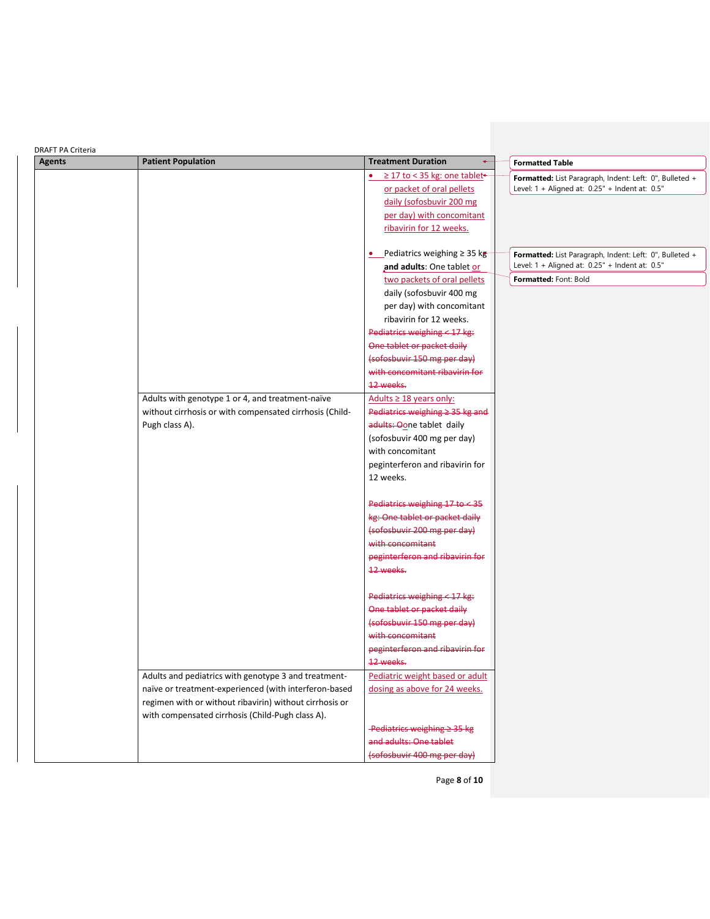| <b>DRAFT PA Criteria</b> |                                                         |                                       |                                                         |
|--------------------------|---------------------------------------------------------|---------------------------------------|---------------------------------------------------------|
| <b>Agents</b>            | <b>Patient Population</b>                               | <b>Treatment Duration</b>             | <b>Formatted Table</b>                                  |
|                          |                                                         | ≥ 17 to < 35 kg: one tablet<br>٠      | Formatted: List Paragraph, Indent: Left: 0", Bulleted + |
|                          |                                                         | or packet of oral pellets             | Level: 1 + Aligned at: 0.25" + Indent at: 0.5"          |
|                          |                                                         | daily (sofosbuvir 200 mg              |                                                         |
|                          |                                                         | per day) with concomitant             |                                                         |
|                          |                                                         | ribavirin for 12 weeks.               |                                                         |
|                          |                                                         | • Pediatrics weighing $\geq$ 35 kg    | Formatted: List Paragraph, Indent: Left: 0", Bulleted + |
|                          |                                                         | and adults: One tablet or             | Level: 1 + Aligned at: 0.25" + Indent at: 0.5"          |
|                          |                                                         | two packets of oral pellets           | Formatted: Font: Bold                                   |
|                          |                                                         | daily (sofosbuvir 400 mg              |                                                         |
|                          |                                                         | per day) with concomitant             |                                                         |
|                          |                                                         | ribavirin for 12 weeks.               |                                                         |
|                          |                                                         | Pediatrics weighing < 17 kg:          |                                                         |
|                          |                                                         | One tablet or packet daily            |                                                         |
|                          |                                                         | (sofosbuvir 150 mg per day)           |                                                         |
|                          |                                                         | with concomitant ribavirin for        |                                                         |
|                          |                                                         | 12 weeks.                             |                                                         |
|                          | Adults with genotype 1 or 4, and treatment-naïve        | Adults $\geq$ 18 years only:          |                                                         |
|                          | without cirrhosis or with compensated cirrhosis (Child- | Pediatrics weighing $\geq$ 35 kg and  |                                                         |
|                          | Pugh class A).                                          | adults: Oone tablet daily             |                                                         |
|                          |                                                         | (sofosbuvir 400 mg per day)           |                                                         |
|                          |                                                         | with concomitant                      |                                                         |
|                          |                                                         | peginterferon and ribavirin for       |                                                         |
|                          |                                                         | 12 weeks.                             |                                                         |
|                          |                                                         |                                       |                                                         |
|                          |                                                         | Pediatrics weighing $17$ to $\leq 35$ |                                                         |
|                          |                                                         | kg: One tablet or packet daily        |                                                         |
|                          |                                                         | (sofosbuvir 200 mg per day)           |                                                         |
|                          |                                                         | with concomitant                      |                                                         |
|                          |                                                         | peginterferon and ribavirin for       |                                                         |
|                          |                                                         | 12 weeks.                             |                                                         |
|                          |                                                         |                                       |                                                         |
|                          |                                                         | Pediatrics weighing < 17 kg:          |                                                         |
|                          |                                                         | One tablet or packet daily            |                                                         |
|                          |                                                         | (sofosbuvir 150 mg per day)           |                                                         |
|                          |                                                         | with concomitant                      |                                                         |
|                          |                                                         | peginterferon and ribavirin for       |                                                         |
|                          |                                                         | 12 weeks.                             |                                                         |
|                          | Adults and pediatrics with genotype 3 and treatment-    | Pediatric weight based or adult       |                                                         |
|                          | naïve or treatment-experienced (with interferon-based   | dosing as above for 24 weeks.         |                                                         |
|                          | regimen with or without ribavirin) without cirrhosis or |                                       |                                                         |
|                          | with compensated cirrhosis (Child-Pugh class A).        |                                       |                                                         |
|                          |                                                         | Pediatrics weighing $\geq$ 35 kg      |                                                         |
|                          |                                                         | and adults: One tablet                |                                                         |
|                          |                                                         | (sofosbuvir 400 mg per day)           |                                                         |
|                          |                                                         |                                       |                                                         |

Page **8** of **10**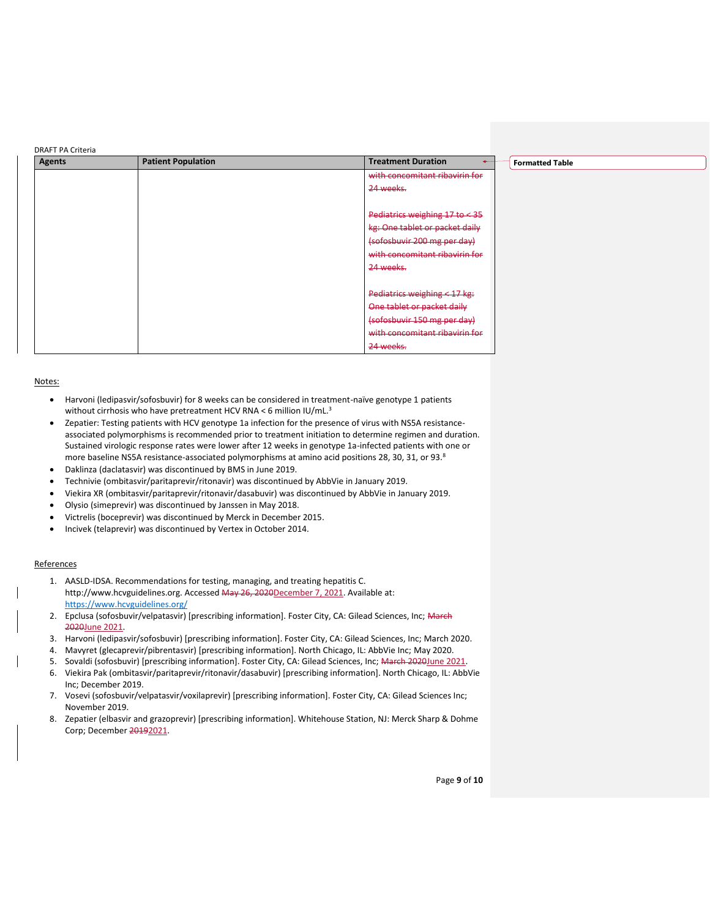| <b>Agents</b> | <b>Patient Population</b> | <b>Treatment Duration</b><br><b>Formatted Table</b> |
|---------------|---------------------------|-----------------------------------------------------|
|               |                           | with concomitant ribavirin for                      |
|               |                           | 24 weeks.                                           |
|               |                           |                                                     |
|               |                           | Pediatrics weighing 17 to <35                       |
|               |                           | kg: One tablet or packet daily                      |
|               |                           | (sofosbuvir 200 mg per day)                         |
|               |                           | with concomitant ribavirin for                      |
|               |                           | 24 weeks.                                           |
|               |                           |                                                     |
|               |                           | Pediatrics weighing < 17 kg:                        |
|               |                           | One tablet or packet daily                          |
|               |                           | (sofosbuvir 150 mg per day)                         |
|               |                           | with concomitant ribavirin for                      |
|               |                           | 24 weeks.                                           |

### Notes:

- Harvoni (ledipasvir/sofosbuvir) for 8 weeks can be considered in treatment-naïve genotype 1 patients without cirrhosis who have pretreatment HCV RNA < 6 million IU/mL.<sup>3</sup>
- Zepatier: Testing patients with HCV genotype 1a infection for the presence of virus with NS5A resistanceassociated polymorphisms is recommended prior to treatment initiation to determine regimen and duration. Sustained virologic response rates were lower after 12 weeks in genotype 1a-infected patients with one or more baseline NS5A resistance-associated polymorphisms at amino acid positions 28, 30, 31, or 93.<sup>8</sup>
- Daklinza (daclatasvir) was discontinued by BMS in June 2019.
- Technivie (ombitasvir/paritaprevir/ritonavir) was discontinued by AbbVie in January 2019.
- Viekira XR (ombitasvir/paritaprevir/ritonavir/dasabuvir) was discontinued by AbbVie in January 2019.
- Olysio (simeprevir) was discontinued by Janssen in May 2018.
- Victrelis (boceprevir) was discontinued by Merck in December 2015.
- Incivek (telaprevir) was discontinued by Vertex in October 2014.

## **References**

- 1. AASLD-IDSA. Recommendations for testing, managing, and treating hepatitis C. http://www.hcvguidelines.org. Accessed May 26, 2020December 7, 2021. Available at: <https://www.hcvguidelines.org/>
- 2. Epclusa (sofosbuvir/velpatasvir) [prescribing information]. Foster City, CA: Gilead Sciences, Inc; March 2020June 2021.
- 3. Harvoni (ledipasvir/sofosbuvir) [prescribing information]. Foster City, CA: Gilead Sciences, Inc; March 2020.
- 4. Mavyret (glecaprevir/pibrentasvir) [prescribing information]. North Chicago, IL: AbbVie Inc; May 2020.
- 5. Sovaldi (sofosbuvir) [prescribing information]. Foster City, CA: Gilead Sciences, Inc; March 2020June 2021
- 6. Viekira Pak (ombitasvir/paritaprevir/ritonavir/dasabuvir) [prescribing information]. North Chicago, IL: AbbVie Inc; December 2019.
- 7. Vosevi (sofosbuvir/velpatasvir/voxilaprevir) [prescribing information]. Foster City, CA: Gilead Sciences Inc; November 2019.
- 8. Zepatier (elbasvir and grazoprevir) [prescribing information]. Whitehouse Station, NJ: Merck Sharp & Dohme Corp; December 20192021.